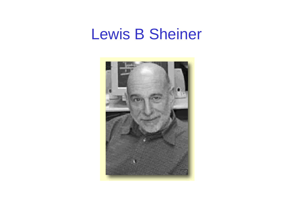## Lewis B Sheiner

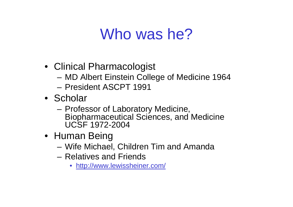# Who was he?

- Clinical Pharmacologist
	- MD Albert Einstein College of Medicine 1964
	- President ASCPT 1991
- Scholar
	- Professor of Laboratory Medicine, Biopharmaceutical Sciences, and Medicine UCSF 1972-2004
- Human Being
	- Wife Michael, Children Tim and Amanda
	- –Relatives and Friends
		- http://www.lewissheiner.com/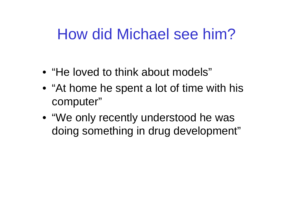# How did Michael see him?

- •"He loved to think about models"
- "At home he spent a lot of time with his computer"
- "We only recently understood he was doing something in drug development"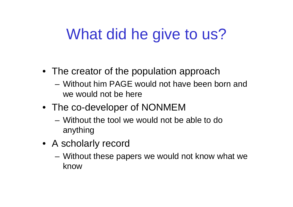# What did he give to us?

- The creator of the population approach
	- –Without him PAGE would not have been born and we would not be here
- The co-developer of NONMEM
	- –Without the tool we would not be able to do anything
- A scholarly record
	- Without these papers we would not know what we know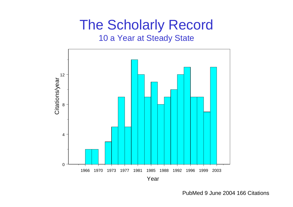### The Scholarly Record 10 a Year at Steady State



PubMed 9 June 2004 166 Citations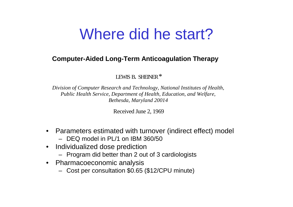# Where did he start?

#### **Computer - Aided Long-T e r m A nticoagulati on T herapy**

LEWIS B. SHEINER  $^\ast$ 

*Division of Computer Res e a rch a n d Technology, National Institut es of Health, Public Health Ser vice, Department of Healt h, Education, and Welfa re, Bet hesda, Maryland 2001 4*

Received June 2, 1969

- Parameters estimated with turnover (indirect effect) model
	- –DEQ model in PL/1 on IBM 360/50
- $\bullet$  Individualized dose prediction
	- Program did better than 2 out of 3 cardiologists
- Pharmacoeconomic analysis
	- Cost per consultation \$0.65 (\$12/CPU minute)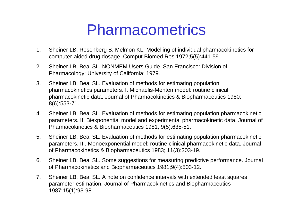## Pharmacometrics

- 1. Sheiner LB, Rosenberg B, Melmon KL. Modelling of individual pharmac okinetics for computer-aided drug dosage. Comput Biomed Res 1972;5(5):441-59.
- 2. Sheiner LB, Beal SL. NONMEM Users Guide. San Francisco: Division of Pharmacology: University of California; 1979.
- 3. Sheiner LB, Beal SL. Evaluation of methods for estimating population pharmacokinetics parameters. I. Michaelis-Menten model: routine clinical pharmacokinetic data. Journal of Pharmacokinetics & Biopharmaceutics 1980; 8(6):553-71.
- 4. Sheiner LB, Beal SL. Evaluation of methods for estimating population phar macokinetic parameters. II. Biexponential model and experimental pharmacokinetic data. Journal of Pharmacokinetics & Biopharmaceutics 1981; 9(5):635-51.
- 5. Sheiner LB, Beal SL. Evaluation of methods for estimating population phar macokinetic parameters. III. Monoexponential model: routine clinical pharmacokin etic data. Journal of Pharmacokinetics & Biopharmaceutics 1983; 11(3):303-19.
- 6. Sheiner LB, Beal SL. Some suggestions for measuring predictive performance. Journal of Pharmacokinetics and Biopharmaceutics 1981;9(4):503-12.
- 7. Sheiner LB, Beal SL. A note on confidence intervals with extended least squares parameter estimation. Journal of Pharmacokinetics and Biopharmaceutics 1987;15(1):93-98.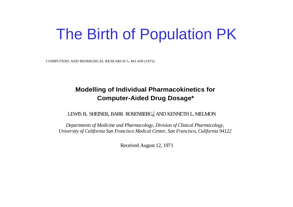# The Birth of Population PK

C O MPUTER S A N D BIO ME DIC A L R ESEAR C H 5, 441-4 59 (1972)

#### **Modelling of Individual Pharmacokinetics for** Computer-Aided Drug Dosage **\***

LEWIS B. SHEINER, BARR ROSENBERG,| AND KENNETH L. MELMON

*Departments of Medicine and Pharmacology, Division of Clinical Pharmacology,* University of California San Francisco Medical Center, San Francisco, California 94122

Recei ved August 1 2, 19 71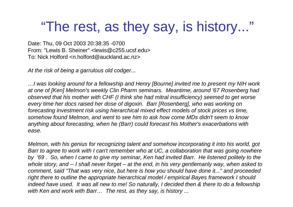## "The rest, as they say, is history..."

Date: Thu, 09 Oct 2003 20:38:35 -0700 From: "Lewis B. Sheiner" <lewis@c255.ucsf.edu> To: Nick Holford <n.holford@auckland.ac.nz>

*At the risk of being a garrulous old codger...*

*…I was looking around for a fellowship and Henry [Bourne] invited me to present my NIH work at one of [Ken] Melmon's weekly Clin Pharm seminars. Meantime, around '67 Rosenberg had observed that his mother with CHF (I think she had mitral insufficiency) seemed to get worse every time her docs raised her dose of digoxin. Barr [Rosenberg], who was working on forecasting investment risk using hierarchical mixed effect models of stock prices vs time, somehow found Melmon, and went to see him to ask how come MDs didn't seem to know anything about forecasting, when he (Barr) could forecast his Mother's exacerbations with ease.* 

*Melmon, with his genius for recognizing talent and somehow incorporating it into his world, got Barr to agree to work with I can't remember who at UC, a collaboration that was going nowhere by '69 . So, when I came to give my seminar, Ken had invited Barr. He listened politely to the whole story, and -- I shall never forget – at the end, in his very gentlemanly way, when asked to comment, said "That was very nice, but here is how you should have done it..." and proceeded right there to outline the appropriate hierarchical model / empirical Bayes framework I should indeed have used. It was all new to me! So naturally, I decided then & there to do a fellowship with Ken and work with Barr… The re st, as they say, is history ...*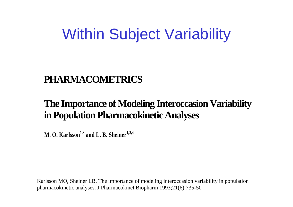# Within Subject Variability

### **PHARMACOMETRICS**

### **The Impo rtance of Modeling Interoccasion Variability in Population Pharmaco kinetic Analys es**

**M. O. Karlsso<sup>n</sup>1,3 <sup>a</sup>nd L. B. Sheiner1,2,4**

K arlsson MO, Sheiner LB. The importance of modeling interoccasion variability in population pharmacokinetic analyses. J Pharmacokinet Biophar m 1993;21(6):735-50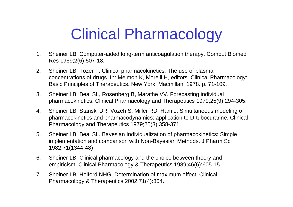# Clinical Pharmacology

- 1. Sheiner LB. Computer-aided long-ter m anticoagulation therapy. Comput Biomed Res 1969;2(6):507-18.
- 2. Sheiner LB, Tozer T. Clinical pharmacokinetics: The use of plasma concentr ations of drugs. In: Melmon K, Morelli H, editors. Clinical Pharmacology: Basic Principles of Therapeutics. New York: Macmillan; 1978. p. 71-109.
- 3. Sheiner LB, Beal SL, Rosenberg B, Marathe VV. Forecasting individual pharmacokinetics. Clinical Pharmacology and Therapeutics 1979;25(9):294-305.
- 4. Sheiner LB, Stanski DR, Vozeh S, Miller RD, Ham J. Simultaneous modeling of pharmacokinetics and pharmacodynamics: application to D-tubocurarine. Clinical Pharmacology and Therapeutics 1979;25(3):358-371.
- 5. Sheiner LB, Beal SL. Bayesian Individualization of pharmacokinetics: Simple implementation and comparison with Non-Bayesian Methods. J Pharm Sci 1982;71(1344-48)
- 6. Sheiner LB. Clinical pharmacology and the choice between theory and empiricism. Clinical Pharmacology & Therapeutics 1989;46(6):605-15.
- 7. Sheiner LB, Holford NHG. Deter mination of maximum effect. Clinical Pharmacology & Therapeutics 2002;71(4):304.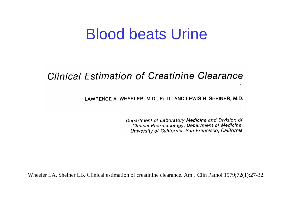## Blood beats Urine

### **Clinical Estimation of Creatinine Clearance**

LAWRENCE A. WHEELER, M.D., PH.D., AND LEWIS B. SHEINER, M.D.

Department of Laboratory Medicine and Division of Clinical Pharmacology, Department of Medicine, University of California, San Francisco, California

Wheeler LA, Sheiner LB. Clinical estimation of creatinine clearance. Am J Clin Pathol 1979;72(1):27-32.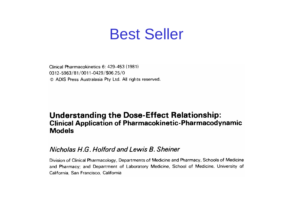## Best Seller

Clinical Pharmacokinetics 6: 429-453 (1981) 0312-5963/81/0011-0429/\$06.25/0 © ADIS Press Australasia Pty Ltd. All rights reserved.

#### **Understanding the Dose-Effect Relationship: Clinical Application of Pharmacokinetic-Pharmacodynamic Models**

#### Nicholas H.G. Holford and Lewis B. Sheiner

Division of Clinical Pharmacology, Departments of Medicine and Pharmacy, Schools of Medicine and Pharmacy; and Department of Laboratory Medicine, School of Medicine, University of California, San Francisco, California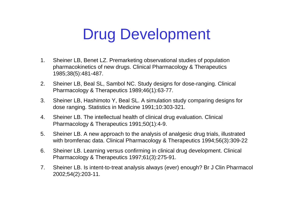# Drug Development

- 1. Sheiner LB, Benet LZ. Premarketing observational studies of population pharmacokinetics of new drugs. Clinical Pharmacology & Therapeutics 1985;38(5):481-487.
- 2. Sheiner LB, Beal SL, Sambol NC. Study designs for dose-ranging. Clinical Pharmacology & Therapeutics 1989;46(1):63-77.
- 3. Sheiner LB, Hashimoto Y, Beal SL. A simulation study comparing designs for dose ranging. Statistics in Medicine 1991;10:303-321.
- 4. Sheiner LB. The intellectual health of clinical drug evaluation. Clinical Pharmacology & Therapeutics 1991;50(1):4-9.
- 5. Sheiner LB. A new approach to the analysis of analgesic drug trials, illustr ated with bromfenac data. Clinical Pharmacology & Therapeutics 1994;56(3):309-22
- 6. Sheiner LB. Learning versus confirming in clinical drug development. Clinical Pharmacology & Therapeutics 1997;61(3):275-91.
- 7. Sheiner LB. Is intent-to-treat analysis always (ever) enough? Br J Clin Pharmacol 2002;54(2):203-11.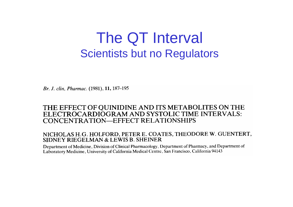## The QT Interval Scientists but no Regulators

Br. J. clin. Pharmac. (1981), 11, 187–195

#### THE EFFECT OF OUINIDINE AND ITS METABOLITES ON THE ELECTROCARDIOGRAM AND SYSTOLIC TIME INTERVALS: CONCENTRATION-EFFECT RELATIONSHIPS

#### NICHOLAS H.G. HOLFORD, PETER E. COATES, THEODORE W. GUENTERT, SIDNEY RIEGELMAN & LEWIS B. SHEINER

Department of Medicine, Division of Clinical Pharmacology, Department of Pharmacy, and Department of Laboratory Medicine, University of California Medical Centre, San Francisco, California 94143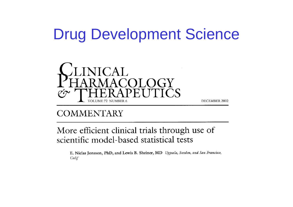# Drug Development Science



### **COMMENTARY**

More efficient clinical trials through use of scientific model-based statistical tests

E. Niclas Jonsson, PhD, and Lewis B. Sheiner, MD Uppsala, Sweden, and San Francisco, Calif

DECEMBER 2002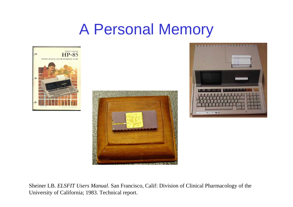# A Personal Memory







Sheiner LB. *ELSFIT Users Manual*. San Francisco, C alif: Division of Clinical Pharmacology of the University of C alifornia; 1983. Technical report.